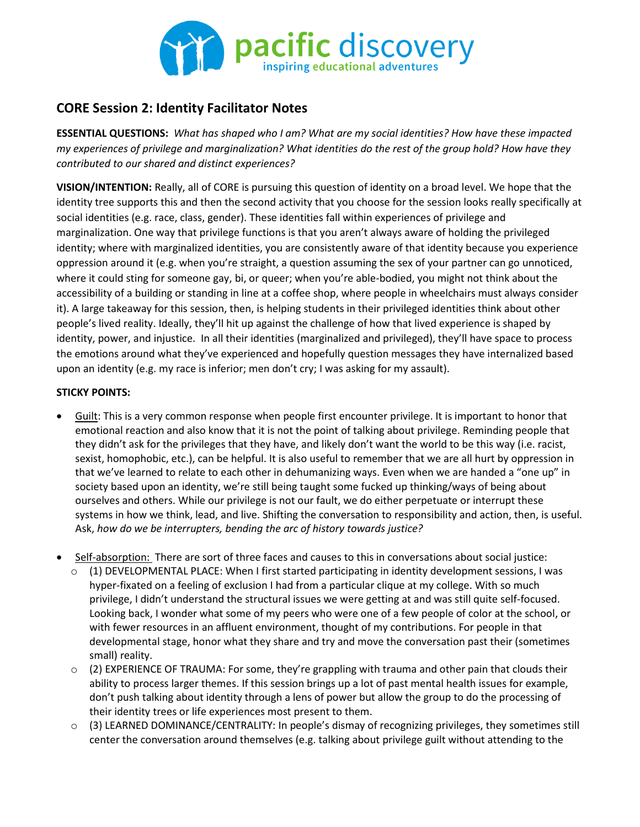

## **CORE Session 2: Identity Facilitator Notes**

**ESSENTIAL QUESTIONS:** *What has shaped who I am? What are my social identities? How have these impacted my experiences of privilege and marginalization? What identities do the rest of the group hold? How have they contributed to our shared and distinct experiences?*

**VISION/INTENTION:** Really, all of CORE is pursuing this question of identity on a broad level. We hope that the identity tree supports this and then the second activity that you choose for the session looks really specifically at social identities (e.g. race, class, gender). These identities fall within experiences of privilege and marginalization. One way that privilege functions is that you aren't always aware of holding the privileged identity; where with marginalized identities, you are consistently aware of that identity because you experience oppression around it (e.g. when you're straight, a question assuming the sex of your partner can go unnoticed, where it could sting for someone gay, bi, or queer; when you're able-bodied, you might not think about the accessibility of a building or standing in line at a coffee shop, where people in wheelchairs must always consider it). A large takeaway for this session, then, is helping students in their privileged identities think about other people's lived reality. Ideally, they'll hit up against the challenge of how that lived experience is shaped by identity, power, and injustice. In all their identities (marginalized and privileged), they'll have space to process the emotions around what they've experienced and hopefully question messages they have internalized based upon an identity (e.g. my race is inferior; men don't cry; I was asking for my assault).

## **STICKY POINTS:**

- Guilt: This is a very common response when people first encounter privilege. It is important to honor that emotional reaction and also know that it is not the point of talking about privilege. Reminding people that they didn't ask for the privileges that they have, and likely don't want the world to be this way (i.e. racist, sexist, homophobic, etc.), can be helpful. It is also useful to remember that we are all hurt by oppression in that we've learned to relate to each other in dehumanizing ways. Even when we are handed a "one up" in society based upon an identity, we're still being taught some fucked up thinking/ways of being about ourselves and others. While our privilege is not our fault, we do either perpetuate or interrupt these systems in how we think, lead, and live. Shifting the conversation to responsibility and action, then, is useful. Ask, *how do we be interrupters, bending the arc of history towards justice?*
- Self-absorption: There are sort of three faces and causes to this in conversations about social justice:
	- $\circ$  (1) DEVELOPMENTAL PLACE: When I first started participating in identity development sessions, I was hyper-fixated on a feeling of exclusion I had from a particular clique at my college. With so much privilege, I didn't understand the structural issues we were getting at and was still quite self-focused. Looking back, I wonder what some of my peers who were one of a few people of color at the school, or with fewer resources in an affluent environment, thought of my contributions. For people in that developmental stage, honor what they share and try and move the conversation past their (sometimes small) reality.
	- $\circ$  (2) EXPERIENCE OF TRAUMA: For some, they're grappling with trauma and other pain that clouds their ability to process larger themes. If this session brings up a lot of past mental health issues for example, don't push talking about identity through a lens of power but allow the group to do the processing of their identity trees or life experiences most present to them.
	- o (3) LEARNED DOMINANCE/CENTRALITY: In people's dismay of recognizing privileges, they sometimes still center the conversation around themselves (e.g. talking about privilege guilt without attending to the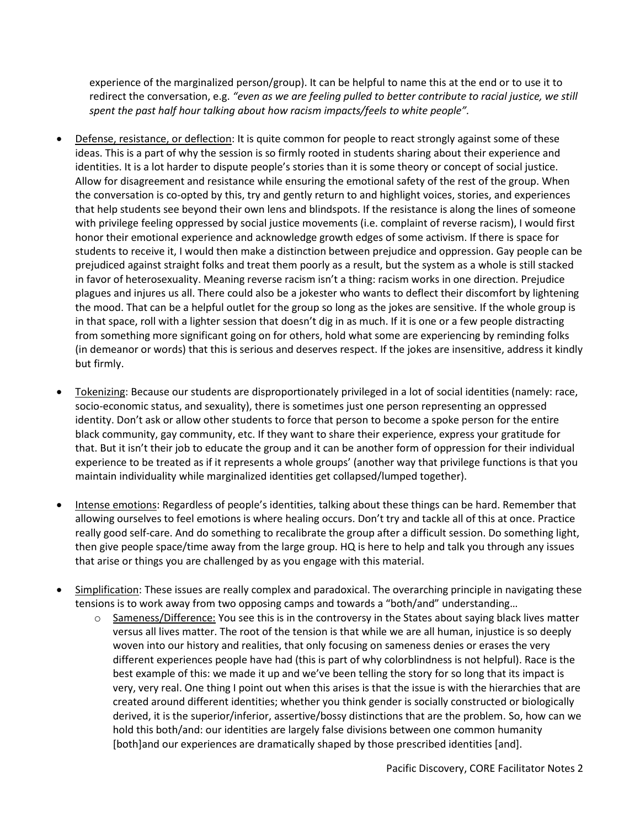experience of the marginalized person/group). It can be helpful to name this at the end or to use it to redirect the conversation, e.g. *"even as we are feeling pulled to better contribute to racial justice, we still spent the past half hour talking about how racism impacts/feels to white people".*

- Defense, resistance, or deflection: It is quite common for people to react strongly against some of these ideas. This is a part of why the session is so firmly rooted in students sharing about their experience and identities. It is a lot harder to dispute people's stories than it is some theory or concept of social justice. Allow for disagreement and resistance while ensuring the emotional safety of the rest of the group. When the conversation is co-opted by this, try and gently return to and highlight voices, stories, and experiences that help students see beyond their own lens and blindspots. If the resistance is along the lines of someone with privilege feeling oppressed by social justice movements (i.e. complaint of reverse racism), I would first honor their emotional experience and acknowledge growth edges of some activism. If there is space for students to receive it, I would then make a distinction between prejudice and oppression. Gay people can be prejudiced against straight folks and treat them poorly as a result, but the system as a whole is still stacked in favor of heterosexuality. Meaning reverse racism isn't a thing: racism works in one direction. Prejudice plagues and injures us all. There could also be a jokester who wants to deflect their discomfort by lightening the mood. That can be a helpful outlet for the group so long as the jokes are sensitive. If the whole group is in that space, roll with a lighter session that doesn't dig in as much. If it is one or a few people distracting from something more significant going on for others, hold what some are experiencing by reminding folks (in demeanor or words) that this is serious and deserves respect. If the jokes are insensitive, address it kindly but firmly.
- Tokenizing: Because our students are disproportionately privileged in a lot of social identities (namely: race, socio-economic status, and sexuality), there is sometimes just one person representing an oppressed identity. Don't ask or allow other students to force that person to become a spoke person for the entire black community, gay community, etc. If they want to share their experience, express your gratitude for that. But it isn't their job to educate the group and it can be another form of oppression for their individual experience to be treated as if it represents a whole groups' (another way that privilege functions is that you maintain individuality while marginalized identities get collapsed/lumped together).
- Intense emotions: Regardless of people's identities, talking about these things can be hard. Remember that allowing ourselves to feel emotions is where healing occurs. Don't try and tackle all of this at once. Practice really good self-care. And do something to recalibrate the group after a difficult session. Do something light, then give people space/time away from the large group. HQ is here to help and talk you through any issues that arise or things you are challenged by as you engage with this material.
- Simplification: These issues are really complex and paradoxical. The overarching principle in navigating these tensions is to work away from two opposing camps and towards a "both/and" understanding…
	- o Sameness/Difference: You see this is in the controversy in the States about saying black lives matter versus all lives matter. The root of the tension is that while we are all human, injustice is so deeply woven into our history and realities, that only focusing on sameness denies or erases the very different experiences people have had (this is part of why colorblindness is not helpful). Race is the best example of this: we made it up and we've been telling the story for so long that its impact is very, very real. One thing I point out when this arises is that the issue is with the hierarchies that are created around different identities; whether you think gender is socially constructed or biologically derived, it is the superior/inferior, assertive/bossy distinctions that are the problem. So, how can we hold this both/and: our identities are largely false divisions between one common humanity [both]and our experiences are dramatically shaped by those prescribed identities [and].